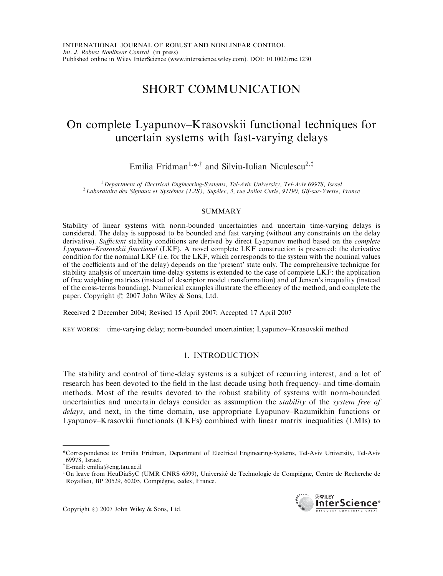# SHORT COMMUNICATION

# On complete Lyapunov–Krasovskii functional techniques for uncertain systems with fast-varying delays

Emilia Fridman<sup>1,\*,†</sup> and Silviu-Iulian Niculescu<sup>2,‡</sup>

<sup>1</sup> Department of Electrical Engineering-Systems, Tel-Aviv University, Tel-Aviv 69978, Israel<br><sup>2</sup> Laboratoire des Signaux et Systèmes (L2S), Supélec, 3, rue Joliot Curie, 91190, Gif-sur-Yvette, France

### SUMMARY

Stability of linear systems with norm-bounded uncertainties and uncertain time-varying delays is considered. The delay is supposed to be bounded and fast varying (without any constraints on the delay derivative). Sufficient stability conditions are derived by direct Lyapunov method based on the *complete* Lyapunov–Krasovskii functional (LKF). A novel complete LKF construction is presented: the derivative condition for the nominal LKF (i.e. for the LKF, which corresponds to the system with the nominal values of the coefficients and of the delay) depends on the 'present' state only. The comprehensive technique for stability analysis of uncertain time-delay systems is extended to the case of complete LKF: the application of free weighting matrices (instead of descriptor model transformation) and of Jensen's inequality (instead of the cross-terms bounding). Numerical examples illustrate the efficiency of the method, and complete the paper. Copyright  $\odot$  2007 John Wiley & Sons, Ltd.

Received 2 December 2004; Revised 15 April 2007; Accepted 17 April 2007

KEY WORDS: time-varying delay; norm-bounded uncertainties; Lyapunov–Krasovskii method

# 1. INTRODUCTION

The stability and control of time-delay systems is a subject of recurring interest, and a lot of research has been devoted to the field in the last decade using both frequency- and time-domain methods. Most of the results devoted to the robust stability of systems with norm-bounded uncertainties and uncertain delays consider as assumption the *stability* of the *system free of* delays, and next, in the time domain, use appropriate Lyapunov–Razumikhin functions or Lyapunov–Krasovkii functionals (LKFs) combined with linear matrix inequalities (LMIs) to

Copyright  $\odot$  2007 John Wiley & Sons, Ltd.



<sup>\*</sup>Correspondence to: Emilia Fridman, Department of Electrical Engineering-Systems, Tel-Aviv University, Tel-Aviv 69978, Israel.

<sup>y</sup>E-mail: emilia@eng.tau.ac.il

<sup>&</sup>lt;sup>‡</sup>On leave from HeuDiaSyC (UMR CNRS 6599), Université de Technologie de Compiègne, Centre de Recherche de Royallieu, BP 20529, 60205, Compiègne, cedex, France.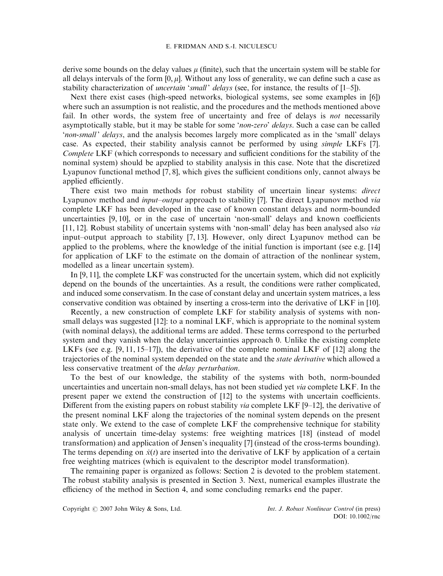derive some bounds on the delay values  $\mu$  (finite), such that the uncertain system will be stable for all delays intervals of the form  $[0, \mu]$ . Without any loss of generality, we can define such a case as stability characterization of *uncertain 'small' delays* (see, for instance, the results of  $[1-5]$ ).

Next there exist cases (high-speed networks, biological systems, see some examples in [6]) where such an assumption is not realistic, and the procedures and the methods mentioned above fail. In other words, the system free of uncertainty and free of delays is *not* necessarily asymptotically stable, but it may be stable for some 'non-zero' delays. Such a case can be called 'non-small' delays, and the analysis becomes largely more complicated as in the 'small' delays case. As expected, their stability analysis cannot be performed by using simple LKFs [7]. Complete LKF (which corresponds to necessary and sufficient conditions for the stability of the nominal system) should be apzplied to stability analysis in this case. Note that the discretized Lyapunov functional method [7, 8], which gives the sufficient conditions only, cannot always be applied efficiently.

There exist two main methods for robust stability of uncertain linear systems: *direct* Lyapunov method and input–output approach to stability [7]. The direct Lyapunov method via complete LKF has been developed in the case of known constant delays and norm-bounded uncertainties [9, 10], or in the case of uncertain 'non-small' delays and known coefficients [11, 12]. Robust stability of uncertain systems with 'non-small' delay has been analysed also via input–output approach to stability [7, 13]. However, only direct Lyapunov method can be applied to the problems, where the knowledge of the initial function is important (see e.g. [14] for application of LKF to the estimate on the domain of attraction of the nonlinear system, modelled as a linear uncertain system).

In [9, 11], the complete LKF was constructed for the uncertain system, which did not explicitly depend on the bounds of the uncertainties. As a result, the conditions were rather complicated, and induced some conservatism. In the case of constant delay and uncertain system matrices, a less conservative condition was obtained by inserting a cross-term into the derivative of LKF in [10].

Recently, a new construction of complete LKF for stability analysis of systems with nonsmall delays was suggested [12]: to a nominal LKF, which is appropriate to the nominal system (with nominal delays), the additional terms are added. These terms correspond to the perturbed system and they vanish when the delay uncertainties approach 0. Unlike the existing complete LKFs (see e.g.  $[9, 11, 15-17]$ ), the derivative of the complete nominal LKF of  $[12]$  along the trajectories of the nominal system depended on the state and the state derivative which allowed a less conservative treatment of the delay perturbation.

To the best of our knowledge, the stability of the systems with both, norm-bounded uncertainties and uncertain non-small delays, has not been studied yet via complete LKF. In the present paper we extend the construction of [12] to the systems with uncertain coefficients. Different from the existing papers on robust stability *via* complete LKF  $[9-12]$ , the derivative of the present nominal LKF along the trajectories of the nominal system depends on the present state only. We extend to the case of complete LKF the comprehensive technique for stability analysis of uncertain time-delay systems: free weighting matrices [18] (instead of model transformation) and application of Jensen's inequality [7] (instead of the cross-terms bounding). The terms depending on  $\dot{x}(t)$  are inserted into the derivative of LKF by application of a certain free weighting matrices (which is equivalent to the descriptor model transformation).

The remaining paper is organized as follows: Section 2 is devoted to the problem statement. The robust stability analysis is presented in Section 3. Next, numerical examples illustrate the efficiency of the method in Section 4, and some concluding remarks end the paper.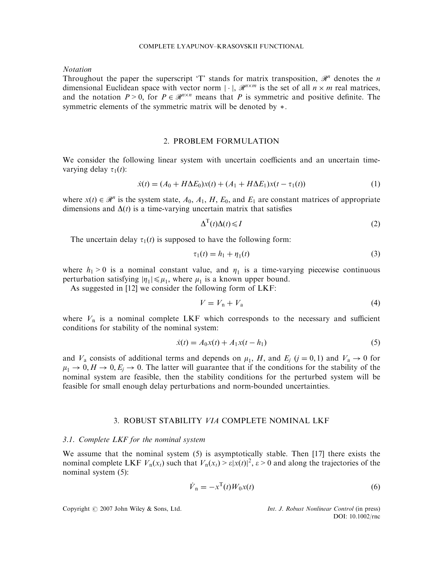### COMPLETE LYAPUNOV–KRASOVSKII FUNCTIONAL

Notation

Throughout the paper the superscript 'T' stands for matrix transposition,  $\mathcal{R}^n$  denotes the n dimensional Euclidean space with vector norm  $|\cdot|$ ,  $\mathcal{R}^{n \times m}$  is the set of all  $n \times m$  real matrices, and the notation  $P > 0$ , for  $P \in \mathcal{R}^{n \times n}$  means that P is symmetric and positive definite. The symmetric elements of the symmetric matrix will be denoted by  $*$ .

## 2. PROBLEM FORMULATION

We consider the following linear system with uncertain coefficients and an uncertain timevarying delay  $\tau_1(t)$ :

$$
\dot{x}(t) = (A_0 + H\Delta E_0)x(t) + (A_1 + H\Delta E_1)x(t - \tau_1(t))
$$
\n(1)

where  $x(t) \in \mathcal{R}^n$  is the system state,  $A_0$ ,  $A_1$ ,  $H$ ,  $E_0$ , and  $E_1$  are constant matrices of appropriate dimensions and  $\Delta(t)$  is a time-varying uncertain matrix that satisfies

$$
\Delta^{\mathrm{T}}(t)\Delta(t) \leqslant I\tag{2}
$$

The uncertain delay  $\tau_1(t)$  is supposed to have the following form:

$$
\tau_1(t) = h_1 + \eta_1(t) \tag{3}
$$

where  $h_1 > 0$  is a nominal constant value, and  $\eta_1$  is a time-varying piecewise continuous perturbation satisfying  $|\eta_1| \leq \mu_1$ , where  $\mu_1$  is a known upper bound.

As suggested in [12] we consider the following form of LKF:

$$
V = V_{\rm n} + V_{\rm a} \tag{4}
$$

where  $V_n$  is a nominal complete LKF which corresponds to the necessary and sufficient conditions for stability of the nominal system:

$$
\dot{x}(t) = A_0 x(t) + A_1 x(t - h_1)
$$
\n(5)

and  $V_a$  consists of additional terms and depends on  $\mu_1$ , H, and  $E_j$  ( $j = 0, 1$ ) and  $V_a \rightarrow 0$  for  $\mu_1 \to 0, H \to 0, E_i \to 0$ . The latter will guarantee that if the conditions for the stability of the nominal system are feasible, then the stability conditions for the perturbed system will be feasible for small enough delay perturbations and norm-bounded uncertainties.

# 3. ROBUST STABILITY VIA COMPLETE NOMINAL LKF

#### 3.1. Complete LKF for the nominal system

We assume that the nominal system (5) is asymptotically stable. Then [17] there exists the nominal complete LKF  $V_n(x_t)$  such that  $V_n(x_t) \ge \varepsilon |x(t)|^2$ ,  $\varepsilon > 0$  and along the trajectories of the nominal system (5):

$$
\dot{V}_{\text{n}} = -x^{\text{T}}(t)W_0x(t) \tag{6}
$$

Copyright  $\odot$  2007 John Wiley & Sons, Ltd. Int. J. Robust Nonlinear Control (in press)

DOI: 10.1002/rnc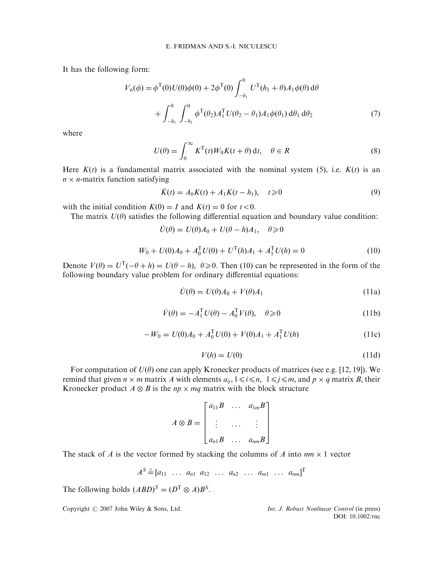It has the following form:

$$
V_{n}(\phi) = \phi^{T}(0)U(0)\phi(0) + 2\phi^{T}(0)\int_{-h_{1}}^{0} U^{T}(h_{1} + \theta)A_{1}\phi(\theta) d\theta
$$

$$
+ \int_{-h_{1}}^{0} \int_{-h_{1}}^{0} \phi^{T}(\theta_{2})A_{1}^{T}U(\theta_{2} - \theta_{1})A_{1}\phi(\theta_{1}) d\theta_{1} d\theta_{2}
$$
(7)

where

$$
U(\theta) = \int_0^\infty K^{\mathrm{T}}(t)W_0K(t+\theta) \,\mathrm{d}t, \quad \theta \in R \tag{8}
$$

Here  $K(t)$  is a fundamental matrix associated with the nominal system (5), i.e.  $K(t)$  is an  $n \times n$ -matrix function satisfying

$$
\dot{K}(t) = A_0 K(t) + A_1 K(t - h_1), \quad t \ge 0
$$
\n(9)

with the initial condition  $K(0) = I$  and  $K(t) = 0$  for  $t < 0$ .

The matrix  $U(\theta)$  satisfies the following differential equation and boundary value condition:

 $\dot{U}(\theta) = U(\theta)A_0 + U(\theta - h)A_1, \quad \theta \geq 0$ 

$$
W_0 + U(0)A_0 + A_0^{\mathrm{T}}U(0) + U^{\mathrm{T}}(h)A_1 + A_1^{\mathrm{T}}U(h) = 0
$$
\n(10)

Denote  $V(\theta) = U^{T}(-\theta + h) = U(\theta - h)$ ,  $\theta \ge 0$ . Then (10) can be represented in the form of the following boundary value problem for ordinary differential equations:

$$
\dot{U}(\theta) = U(\theta)A_0 + V(\theta)A_1
$$
\n(11a)

$$
\dot{V}(\theta) = -A_1^{\mathrm{T}} U(\theta) - A_0^{\mathrm{T}} V(\theta), \quad \theta \ge 0 \tag{11b}
$$

$$
-W_0 = U(0)A_0 + A_0^{\mathrm{T}}U(0) + V(0)A_1 + A_1^{\mathrm{T}}U(h)
$$
\n(11c)

$$
V(h) = U(0) \tag{11d}
$$

For computation of  $U(\theta)$  one can apply Kronecker products of matrices (see e.g. [12, 19]). We remind that given  $n \times m$  matrix A with elements  $a_{ij}$ ,  $1 \le i \le n$ ,  $1 \le j \le m$ , and  $p \times q$  matrix B, their Kronecker product  $A \otimes B$  is the  $np \times mq$  matrix with the block structure

| $A \otimes B =$ |  | $\begin{bmatrix} a_{11}B & \dots & a_{1m}B \end{bmatrix}$ |  |
|-----------------|--|-----------------------------------------------------------|--|
|                 |  |                                                           |  |
|                 |  | $[a_{n1}B \ldots a_{nm}B]$                                |  |

The stack of A is the vector formed by stacking the columns of A into  $nm \times 1$  vector

$$
A^{S} \triangleq [a_{11} \ldots a_{n1} a_{12} \ldots a_{n2} \ldots a_{m1} \ldots a_{mn}]^{T}
$$

The following holds  $(ABD)^S = (D^T \otimes A)B^S$ .

Copyright  $\odot$  2007 John Wiley & Sons, Ltd. Int. J. Robust Nonlinear Control (in press) DOI: 10.1002/rnc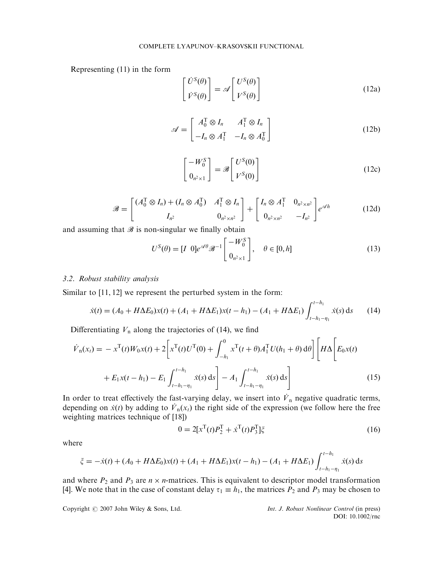Representing  $(11)$  in the form

$$
\begin{bmatrix} \dot{U}^{S}(\theta) \\ \dot{V}^{S}(\theta) \end{bmatrix} = \mathscr{A} \begin{bmatrix} U^{S}(\theta) \\ V^{S}(\theta) \end{bmatrix}
$$
 (12a)

$$
\mathscr{A} = \begin{bmatrix} A_0^{\mathrm{T}} \otimes I_n & A_1^{\mathrm{T}} \otimes I_n \\ -I_n \otimes A_1^{\mathrm{T}} & -I_n \otimes A_0^{\mathrm{T}} \end{bmatrix}
$$
(12b)

$$
\begin{bmatrix} -W_0^S\\0_{n^2\times 1} \end{bmatrix} = \mathscr{B} \begin{bmatrix} U^S(0)\\V^S(0) \end{bmatrix}
$$
 (12c)

$$
\mathscr{B} = \begin{bmatrix} (A_0^{\mathrm{T}} \otimes I_n) + (I_n \otimes A_0^{\mathrm{T}}) & A_1^{\mathrm{T}} \otimes I_n \\ I_{n^2} & 0_{n^2 \times n^2} \end{bmatrix} + \begin{bmatrix} I_n \otimes A_1^{\mathrm{T}} & 0_{n^2 \times n^2} \\ 0_{n^2 \times n^2} & -I_{n^2} \end{bmatrix} e^{\mathscr{A}h} \tag{12d}
$$

and assuming that  $\mathscr B$  is non-singular we finally obtain

$$
U^{S}(\theta) = [I \ 0]e^{\mathscr{A}\theta}\mathscr{B}^{-1}\begin{bmatrix} -W_{0}^{S} \\ 0_{n^{2}\times 1} \end{bmatrix}, \quad \theta \in [0, h]
$$
 (13)

## 3.2. Robust stability analysis

Similar to [11, 12] we represent the perturbed system in the form:

$$
\dot{x}(t) = (A_0 + H\Delta E_0)x(t) + (A_1 + H\Delta E_1)x(t - h_1) - (A_1 + H\Delta E_1)\int_{t - h_1 - \eta_1}^{t - h_1} \dot{x}(s) \,ds \tag{14}
$$

Differentiating  $V_n$  along the trajectories of (14), we find

$$
\dot{V}_{n}(x_{t}) = -x^{T}(t)W_{0}x(t) + 2\left[x^{T}(t)U^{T}(0) + \int_{-h_{1}}^{0} x^{T}(t+\theta)A_{1}^{T}U(h_{1}+\theta) d\theta\right]\left[H\Delta\left[E_{0}x(t)\right] + E_{1}x(t-h_{1}) - E_{1}\int_{t-h_{1}-\eta_{1}}^{t-h_{1}} \dot{x}(s) ds\right]
$$
\n(15)

In order to treat effectively the fast-varying delay, we insert into  $\dot{V}_n$  negative quadratic terms, depending on  $\dot{x}(t)$  by adding to  $\dot{V}_n(x)$  the right side of the expression (we follow here the free weighting matrices technique of [18])

$$
0 = 2[x^{T}(t)P_{2}^{T} + \dot{x}^{T}(t)P_{3}^{T}]\xi
$$
\n(16)

where

$$
\xi = -\dot{x}(t) + (A_0 + H\Delta E_0)x(t) + (A_1 + H\Delta E_1)x(t - h_1) - (A_1 + H\Delta E_1)\int_{t - h_1 - \eta_1}^{t - h_1} \dot{x}(s) \,ds
$$

and where  $P_2$  and  $P_3$  are  $n \times n$ -matrices. This is equivalent to descriptor model transformation [4]. We note that in the case of constant delay  $\tau_1 \equiv h_1$ , the matrices  $P_2$  and  $P_3$  may be chosen to

Copyright  $\odot$  2007 John Wiley & Sons, Ltd. Int. J. Robust Nonlinear Control (in press)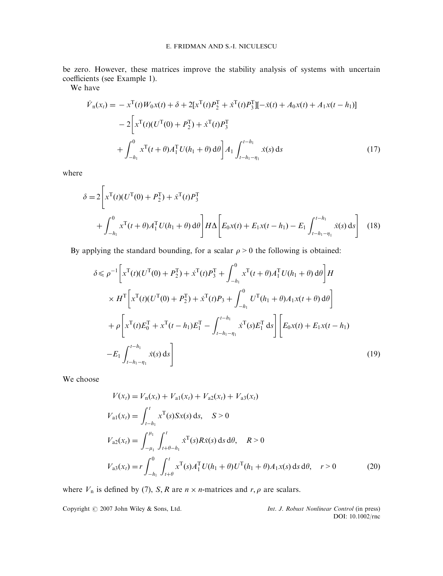be zero. However, these matrices improve the stability analysis of systems with uncertain coefficients (see Example 1).

We have

$$
\dot{V}_{n}(x_{t}) = -x^{T}(t)W_{0}x(t) + \delta + 2[x^{T}(t)P_{2}^{T} + \dot{x}^{T}(t)P_{3}^{T}]] - \dot{x}(t) + A_{0}x(t) + A_{1}x(t - h_{1})]
$$
\n
$$
-2\left[x^{T}(t)(U^{T}(0) + P_{2}^{T}) + \dot{x}^{T}(t)P_{3}^{T}\right]
$$
\n
$$
+ \int_{-h_{1}}^{0} x^{T}(t + \theta)A_{1}^{T}U(h_{1} + \theta) d\theta\right]A_{1} \int_{t - h_{1} - \eta_{1}}^{t - h_{1}} \dot{x}(s) ds
$$
\n(17)

where

...

$$
\delta = 2 \left[ x^{\text{T}}(t) (U^{\text{T}}(0) + P_2^{\text{T}}) + \dot{x}^{\text{T}}(t) P_3^{\text{T}} + \int_{-h_1}^{0} x^{\text{T}}(t + \theta) A_1^{\text{T}} U(h_1 + \theta) d\theta \right] H \Delta \left[ E_0 x(t) + E_1 x(t - h_1) - E_1 \int_{t - h_1 - \eta_1}^{t - h_1} \dot{x}(s) ds \right]
$$
(18)

By applying the standard bounding, for a scalar  $\rho > 0$  the following is obtained:

$$
\delta \leq \rho^{-1} \left[ x^{\mathrm{T}}(t) (U^{\mathrm{T}}(0) + P_{2}^{\mathrm{T}}) + \dot{x}^{\mathrm{T}}(t) P_{3}^{\mathrm{T}} + \int_{-h_{1}}^{0} x^{\mathrm{T}}(t + \theta) A_{1}^{\mathrm{T}} U(h_{1} + \theta) d\theta \right] H
$$
  
\n
$$
\times H^{\mathrm{T}} \left[ x^{\mathrm{T}}(t) (U^{\mathrm{T}}(0) + P_{2}^{\mathrm{T}}) + \dot{x}^{\mathrm{T}}(t) P_{3} + \int_{-h_{1}}^{0} U^{\mathrm{T}}(h_{1} + \theta) A_{1} x(t + \theta) d\theta \right]
$$
  
\n
$$
+ \rho \left[ x^{\mathrm{T}}(t) E_{0}^{\mathrm{T}} + x^{\mathrm{T}}(t - h_{1}) E_{1}^{\mathrm{T}} - \int_{t - h_{1} - \eta_{1}}^{t - h_{1}} \dot{x}^{\mathrm{T}}(s) E_{1}^{\mathrm{T}} ds \right] \left[ E_{0} x(t) + E_{1} x(t - h_{1}) - E_{1} \int_{t - h_{1} - \eta_{1}}^{t - h_{1}} \dot{x}(s) ds \right]
$$
\n(19)

We choose

$$
V(x_t) = V_n(x_t) + V_{a1}(x_t) + V_{a2}(x_t) + V_{a3}(x_t)
$$
  
\n
$$
V_{a1}(x_t) = \int_{t-h_1}^t x^T(s)Sx(s) ds, \quad S > 0
$$
  
\n
$$
V_{a2}(x_t) = \int_{-\mu_1}^{\mu_1} \int_{t+\theta-h_1}^t x^T(s)Rx(s) ds d\theta, \quad R > 0
$$
  
\n
$$
V_{a3}(x_t) = r \int_{-h_1}^0 \int_{t+\theta}^t x^T(s)A_1^T U(h_1 + \theta)U^T(h_1 + \theta)A_1x(s) ds d\theta, \quad r > 0
$$
\n(20)

where  $V_n$  is defined by (7), S, R are  $n \times n$ -matrices and  $r, \rho$  are scalars.

Copyright  $\odot$  2007 John Wiley & Sons, Ltd. Int. J. Robust Nonlinear Control (in press)

DOI: 10.1002/rnc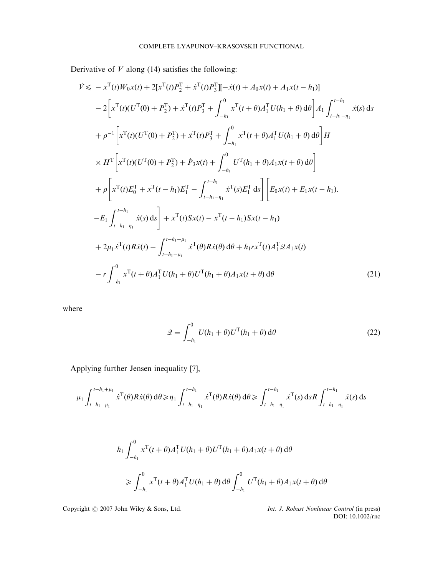Derivative of  $V$  along (14) satisfies the following:

$$
\dot{V} \leq -x^{T}(t)W_{0}x(t) + 2[x^{T}(t)P_{2}^{T}] + \dot{x}^{T}(t)P_{3}^{T}][-\dot{x}(t) + A_{0}x(t) + A_{1}x(t-h_{1})]
$$
\n
$$
-2\bigg[x^{T}(t)(U^{T}(0) + P_{2}^{T}) + \dot{x}^{T}(t)P_{3}^{T} + \int_{-h_{1}}^{0} x^{T}(t+\theta)A_{1}^{T}U(h_{1}+\theta) d\theta\bigg]A_{1}\int_{t-h_{1}-\eta_{1}}^{t-h_{1}}\dot{x}(s) ds
$$
\n
$$
+ \rho^{-1}\bigg[x^{T}(t)(U^{T}(0) + P_{2}^{T}) + \dot{x}^{T}(t)P_{3}^{T} + \int_{-h_{1}}^{0} x^{T}(t+\theta)A_{1}^{T}U(h_{1}+\theta) d\theta\bigg]H
$$
\n
$$
\times H^{T}\bigg[x^{T}(t)(U^{T}(0) + P_{2}^{T}) + \dot{P}_{3}x(t) + \int_{-h_{1}}^{0} U^{T}(h_{1}+\theta)A_{1}x(t+\theta) d\theta\bigg]
$$
\n
$$
+ \rho\bigg[x^{T}(t)E_{0}^{T} + x^{T}(t-h_{1})E_{1}^{T} - \int_{t-h_{1}-\eta_{1}}^{t-h_{1}}\dot{x}^{T}(s)E_{1}^{T} ds\bigg] \bigg[E_{0}x(t) + E_{1}x(t-h_{1}).
$$
\n
$$
-E_{1}\int_{t-h_{1}-\eta_{1}}^{t-h_{1}}\dot{x}(s) ds\bigg] + x^{T}(t)Sx(t) - x^{T}(t-h_{1})Sx(t-h_{1})
$$
\n
$$
+ 2\mu_{1}\dot{x}^{T}(t)Rx(t) - \int_{t-h_{1}-\mu_{1}}^{t-h_{1}+\mu_{1}}\dot{x}^{T}(\theta)Rx(\theta) d\theta + h_{1}rx^{T}(t)A_{1}^{T}\mathcal{A}_{1}x(t)
$$
\n
$$
-r\int_{-h_{1}}^{0} x^{T}(t+\theta)A_{1}^{T}U(h_{1}+\theta)U^{T}(h_{1}+\theta)A_{1}x(t+\theta) d\theta \qquad (21)
$$

where

$$
\mathcal{Q} = \int_{-h_1}^{0} U(h_1 + \theta) U^{\mathrm{T}}(h_1 + \theta) \, \mathrm{d}\theta \tag{22}
$$

Applying further Jensen inequality [7],

$$
\mu_1 \int_{t-h_1-\mu_1}^{t-h_1+\mu_1} \dot{x}^T(\theta) R \dot{x}(\theta) d\theta \ge \eta_1 \int_{t-h_1-\eta_1}^{t-h_1} \dot{x}^T(\theta) R \dot{x}(\theta) d\theta \ge \int_{t-h_1-\eta_1}^{t-h_1} \dot{x}^T(s) ds R \int_{t-h_1-\eta_1}^{t-h_1} \dot{x}(s) ds
$$

$$
h_1 \int_{-h_1}^{0} x^{\mathrm{T}}(t+\theta) A_1^{\mathrm{T}} U(h_1+\theta) U^{\mathrm{T}}(h_1+\theta) A_1 x(t+\theta) d\theta
$$
  
\n
$$
\geq \int_{-h_1}^{0} x^{\mathrm{T}}(t+\theta) A_1^{\mathrm{T}} U(h_1+\theta) d\theta \int_{-h_1}^{0} U^{\mathrm{T}}(h_1+\theta) A_1 x(t+\theta) d\theta
$$

Copyright  $\odot$  2007 John Wiley & Sons, Ltd.

Int. J. Robust Nonlinear Control (in press)<br>DOI: 10.1002/rnc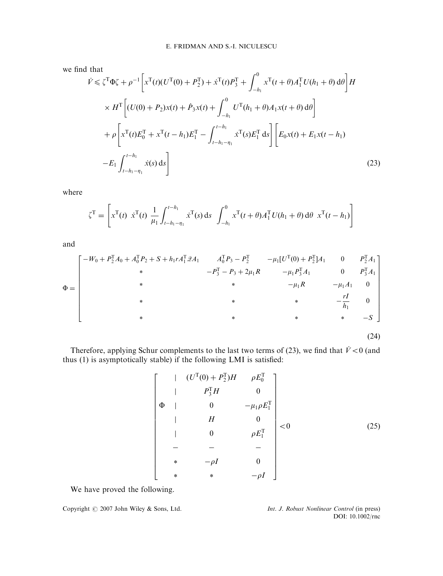we find that

$$
\dot{V} \leq \zeta^{\mathrm{T}} \Phi \zeta + \rho^{-1} \left[ x^{\mathrm{T}}(t) (U^{\mathrm{T}}(0) + P_{2}^{\mathrm{T}}) + x^{\mathrm{T}}(t) P_{3}^{\mathrm{T}} + \int_{-h_{1}}^{0} x^{\mathrm{T}}(t + \theta) A_{1}^{\mathrm{T}} U(h_{1} + \theta) d\theta \right] H
$$
\n
$$
\times H^{\mathrm{T}} \left[ (U(0) + P_{2}) x(t) + \dot{P}_{3} x(t) + \int_{-h_{1}}^{0} U^{\mathrm{T}}(h_{1} + \theta) A_{1} x(t + \theta) d\theta \right]
$$
\n
$$
+ \rho \left[ x^{\mathrm{T}}(t) E_{0}^{\mathrm{T}} + x^{\mathrm{T}}(t - h_{1}) E_{1}^{\mathrm{T}} - \int_{t - h_{1} - \eta_{1}}^{t - h_{1}} x^{\mathrm{T}}(s) E_{1}^{\mathrm{T}} ds \right] \left[ E_{0} x(t) + E_{1} x(t - h_{1}) \right]
$$
\n
$$
- E_{1} \int_{t - h_{1} - \eta_{1}}^{t - h_{1}} \dot{x}(s) ds \right]
$$
\n(23)

where

$$
\zeta^{\mathrm{T}} = \left[ x^{\mathrm{T}}(t) \; \dot{x}^{\mathrm{T}}(t) \; \frac{1}{\mu_1} \int_{t-h_1-\eta_1}^{t-h_1} \dot{x}^{\mathrm{T}}(s) \, \mathrm{d}s \; \int_{-h_1}^{0} x^{\mathrm{T}}(t+\theta) A_1^{\mathrm{T}} U(h_1+\theta) \, \mathrm{d}\theta \; x^{\mathrm{T}}(t-h_1) \right]
$$

and

$$
\Phi = \begin{bmatrix}\n-W_0 + P_2^{\mathrm{T}} A_0 + A_0^{\mathrm{T}} P_2 + S + h_1 r A_1^{\mathrm{T}} \mathcal{Q} A_1 & A_0^{\mathrm{T}} P_3 - P_2^{\mathrm{T}} & -\mu_1 [U^{\mathrm{T}}(0) + P_2^{\mathrm{T}}] A_1 & 0 & P_2^{\mathrm{T}} A_1 \\
\ast & -P_3^{\mathrm{T}} - P_3 + 2\mu_1 R & -\mu_1 P_3^{\mathrm{T}} A_1 & 0 & P_3^{\mathrm{T}} A_1 \\
\ast & \ast & \ast & -\mu_1 R & -\mu_1 A_1 & 0 \\
\ast & \ast & \ast & -\frac{rI}{h_1} & 0 \\
\ast & \ast & \ast & -S\n\end{bmatrix}
$$

$$
^{(24)}
$$

Therefore, applying Schur complements to the last two terms of (23), we find that  $\dot{V} < 0$  (and thus (1) is asymptotically stable) if the following LMI is satisfied:

$$
\begin{bmatrix}\n & | & (U^{\mathrm{T}}(0) + P_2^{\mathrm{T}})H & \rho E_0^{\mathrm{T}} \\
 & | & P_3^{\mathrm{T}}H & 0 \\
 & | & 0 & -\mu_1 \rho E_1^{\mathrm{T}} \\
 & | & H & 0 \\
 & | & 0 & \rho E_1^{\mathrm{T}} \\
 & - & - & - \\
 & * & -\rho I & 0 \\
 & * & * & -\rho I\n\end{bmatrix} < 0
$$
\n
$$
(25)
$$

We have proved the following.

Copyright  $\odot$  2007 John Wiley & Sons, Ltd. Int. J. Robust Nonlinear Control (in press)

DOI: 10.1002/rnc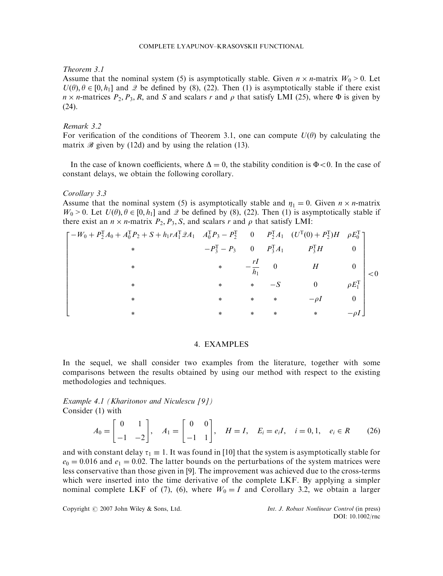## Theorem 3.1

Assume that the nominal system (5) is asymptotically stable. Given  $n \times n$ -matrix  $W_0 > 0$ . Let  $U(\theta), \theta \in [0, h_1]$  and  $\mathcal{Q}$  be defined by (8), (22). Then (1) is asymptotically stable if there exist  $n \times n$ -matrices  $P_2$ ,  $P_3$ , R, and S and scalars r and  $\rho$  that satisfy LMI (25), where  $\Phi$  is given by (24).

# Remark 3.2

For verification of the conditions of Theorem 3.1, one can compute  $U(\theta)$  by calculating the matrix  $\mathscr B$  given by (12d) and by using the relation (13).

In the case of known coefficients, where  $\Delta = 0$ , the stability condition is  $\Phi < 0$ . In the case of constant delays, we obtain the following corollary.

Corollary 3.3

Assume that the nominal system (5) is asymptotically stable and  $\eta_1 = 0$ . Given  $n \times n$ -matrix  $W_0 > 0$ . Let  $U(\theta)$ ,  $\theta \in [0, h_1]$  and  $\mathcal{Q}$  be defined by (8), (22). Then (1) is asymptotically stable if there exist an  $n \times n$ -matrix  $P_2, P_3, S$ , and scalars r and  $\rho$  that satisfy LMI:

$$
\begin{bmatrix}\n-W_0 + P_2^T A_0 + A_0^T P_2 + S + h_1 r A_1^T \mathcal{Q} A_1 & A_0^T P_3 - P_2^T & 0 & P_2^T A_1 & (U^T(0) + P_2^T) H & \rho E_0^T \\
& * & -P_3^T - P_3 & 0 & P_3^T A_1 & P_3^T H & 0 \\
& * & * & -\frac{rI}{h_1} & 0 & H & 0 \\
& * & * & * & -S & 0 & \rho E_1^T \\
& * & * & * & * & -\rho I & 0 \\
& * & * & * & * & * & -\rho I\n\end{bmatrix} < 0
$$

## 4. EXAMPLES

In the sequel, we shall consider two examples from the literature, together with some comparisons between the results obtained by using our method with respect to the existing methodologies and techniques.

Example 4.1 (Kharitonov and Niculescu [9]) Consider (1) with

$$
A_0 = \begin{bmatrix} 0 & 1 \\ -1 & -2 \end{bmatrix}, \quad A_1 = \begin{bmatrix} 0 & 0 \\ -1 & 1 \end{bmatrix}, \quad H = I, \quad E_i = e_i I, \quad i = 0, 1, \quad e_i \in R \tag{26}
$$

and with constant delay  $\tau_1 \equiv 1$ . It was found in [10] that the system is asymptotically stable for  $e_0 = 0.016$  and  $e_1 = 0.02$ . The latter bounds on the perturbations of the system matrices were less conservative than those given in [9]. The improvement was achieved due to the cross-terms which were inserted into the time derivative of the complete LKF. By applying a simpler nominal complete LKF of (7), (6), where  $W_0 = I$  and Corollary 3.2, we obtain a larger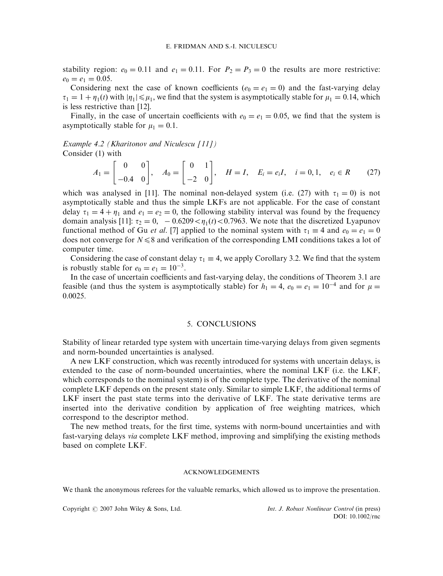stability region:  $e_0 = 0.11$  and  $e_1 = 0.11$ . For  $P_2 = P_3 = 0$  the results are more restrictive:  $e_0 = e_1 = 0.05.$ 

Considering next the case of known coefficients  $(e_0 = e_1 = 0)$  and the fast-varying delay  $\tau_1 = 1 + \eta_1(t)$  with  $|\eta_1| \leq \mu_1$ , we find that the system is asymptotically stable for  $\mu_1 = 0.14$ , which is less restrictive than [12].

Finally, in the case of uncertain coefficients with  $e_0 = e_1 = 0.05$ , we find that the system is asymptotically stable for  $\mu_1 = 0.1$ .

Example 4.2 (Kharitonov and Niculescu [11]) Consider (1) with

$$
A_1 = \begin{bmatrix} 0 & 0 \\ -0.4 & 0 \end{bmatrix}, \quad A_0 = \begin{bmatrix} 0 & 1 \\ -2 & 0 \end{bmatrix}, \quad H = I, \quad E_i = e_i I, \quad i = 0, 1, \quad e_i \in R \tag{27}
$$

which was analysed in [11]. The nominal non-delayed system (i.e. (27) with  $\tau_1 = 0$ ) is not asymptotically stable and thus the simple LKFs are not applicable. For the case of constant delay  $\tau_1 = 4 + \eta_1$  and  $e_1 = e_2 = 0$ , the following stability interval was found by the frequency domain analysis [11]:  $\tau_2 = 0$ ,  $-0.6209 < \eta_1(t) < 0.7963$ . We note that the discretized Lyapunov functional method of Gu *et al.* [7] applied to the nominal system with  $\tau_1 \equiv 4$  and  $e_0 = e_1 = 0$ does not converge for  $N \le 8$  and verification of the corresponding LMI conditions takes a lot of computer time.

Considering the case of constant delay  $\tau_1 \equiv 4$ , we apply Corollary 3.2. We find that the system is robustly stable for  $e_0 = e_1 = 10^{-3}$ .

In the case of uncertain coefficients and fast-varying delay, the conditions of Theorem 3.1 are feasible (and thus the system is asymptotically stable) for  $h_1 = 4$ ,  $e_0 = e_1 = 10^{-4}$  and for  $\mu =$ 0:0025:

#### 5. CONCLUSIONS

Stability of linear retarded type system with uncertain time-varying delays from given segments and norm-bounded uncertainties is analysed.

A new LKF construction, which was recently introduced for systems with uncertain delays, is extended to the case of norm-bounded uncertainties, where the nominal LKF (i.e. the LKF, which corresponds to the nominal system) is of the complete type. The derivative of the nominal complete LKF depends on the present state only. Similar to simple LKF, the additional terms of LKF insert the past state terms into the derivative of LKF. The state derivative terms are inserted into the derivative condition by application of free weighting matrices, which correspond to the descriptor method.

The new method treats, for the first time, systems with norm-bound uncertainties and with fast-varying delays via complete LKF method, improving and simplifying the existing methods based on complete LKF.

#### ACKNOWLEDGEMENTS

We thank the anonymous referees for the valuable remarks, which allowed us to improve the presentation.

Copyright  $\odot$  2007 John Wiley & Sons, Ltd. Int. J. Robust Nonlinear Control (in press)